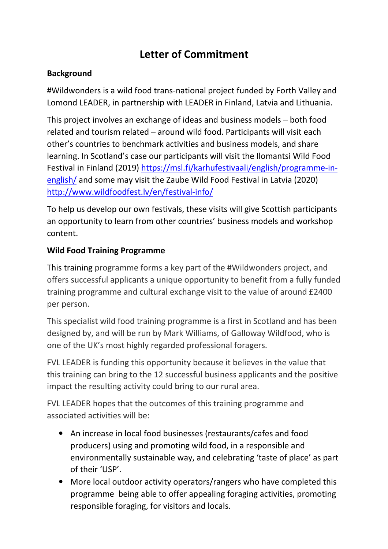# Letter of Commitment

## Background

#Wildwonders is a wild food trans-national project funded by Forth Valley and Lomond LEADER, in partnership with LEADER in Finland, Latvia and Lithuania.

This project involves an exchange of ideas and business models – both food related and tourism related – around wild food. Participants will visit each other's countries to benchmark activities and business models, and share learning. In Scotland's case our participants will visit the Ilomantsi Wild Food Festival in Finland (2019) https://msl.fi/karhufestivaali/english/programme-inenglish/ and some may visit the Zaube Wild Food Festival in Latvia (2020) http://www.wildfoodfest.lv/en/festival-info/

To help us develop our own festivals, these visits will give Scottish participants an opportunity to learn from other countries' business models and workshop content.

## Wild Food Training Programme

This training programme forms a key part of the #Wildwonders project, and offers successful applicants a unique opportunity to benefit from a fully funded training programme and cultural exchange visit to the value of around £2400 per person.

This specialist wild food training programme is a first in Scotland and has been designed by, and will be run by Mark Williams, of Galloway Wildfood, who is one of the UK's most highly regarded professional foragers.

FVL LEADER is funding this opportunity because it believes in the value that this training can bring to the 12 successful business applicants and the positive impact the resulting activity could bring to our rural area.

FVL LEADER hopes that the outcomes of this training programme and associated activities will be:

- An increase in local food businesses (restaurants/cafes and food producers) using and promoting wild food, in a responsible and environmentally sustainable way, and celebrating 'taste of place' as part of their 'USP'.
- More local outdoor activity operators/rangers who have completed this programme being able to offer appealing foraging activities, promoting responsible foraging, for visitors and locals.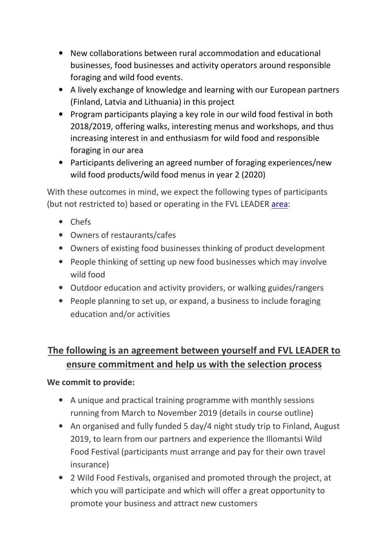- New collaborations between rural accommodation and educational businesses, food businesses and activity operators around responsible foraging and wild food events.
- A lively exchange of knowledge and learning with our European partners (Finland, Latvia and Lithuania) in this project
- Program participants playing a key role in our wild food festival in both 2018/2019, offering walks, interesting menus and workshops, and thus increasing interest in and enthusiasm for wild food and responsible foraging in our area
- Participants delivering an agreed number of foraging experiences/new wild food products/wild food menus in year 2 (2020)

With these outcomes in mind, we expect the following types of participants (but not restricted to) based or operating in the FVL LEADER area:

- Chefs
- Owners of restaurants/cafes
- Owners of existing food businesses thinking of product development
- People thinking of setting up new food businesses which may involve wild food
- Outdoor education and activity providers, or walking guides/rangers
- People planning to set up, or expand, a business to include foraging education and/or activities

# The following is an agreement between yourself and FVL LEADER to ensure commitment and help us with the selection process

### We commit to provide:

- A unique and practical training programme with monthly sessions running from March to November 2019 (details in course outline)
- An organised and fully funded 5 day/4 night study trip to Finland, August 2019, to learn from our partners and experience the Illomantsi Wild Food Festival (participants must arrange and pay for their own travel insurance)
- 2 Wild Food Festivals, organised and promoted through the project, at which you will participate and which will offer a great opportunity to promote your business and attract new customers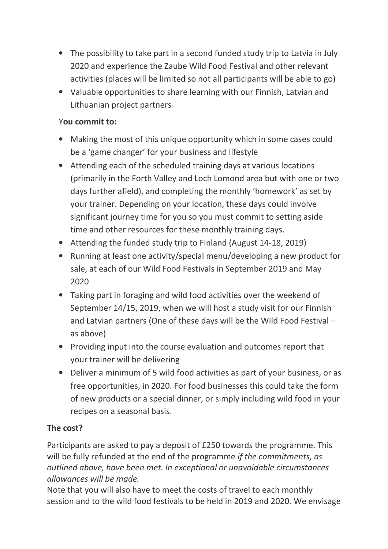- The possibility to take part in a second funded study trip to Latvia in July 2020 and experience the Zaube Wild Food Festival and other relevant activities (places will be limited so not all participants will be able to go)
- Valuable opportunities to share learning with our Finnish, Latvian and Lithuanian project partners

### You commit to:

- Making the most of this unique opportunity which in some cases could be a 'game changer' for your business and lifestyle
- Attending each of the scheduled training days at various locations (primarily in the Forth Valley and Loch Lomond area but with one or two days further afield), and completing the monthly 'homework' as set by your trainer. Depending on your location, these days could involve significant journey time for you so you must commit to setting aside time and other resources for these monthly training days.
- Attending the funded study trip to Finland (August 14-18, 2019)
- Running at least one activity/special menu/developing a new product for sale, at each of our Wild Food Festivals in September 2019 and May 2020
- Taking part in foraging and wild food activities over the weekend of September 14/15, 2019, when we will host a study visit for our Finnish and Latvian partners (One of these days will be the Wild Food Festival – as above)
- Providing input into the course evaluation and outcomes report that your trainer will be delivering
- Deliver a minimum of 5 wild food activities as part of your business, or as free opportunities, in 2020. For food businesses this could take the form of new products or a special dinner, or simply including wild food in your recipes on a seasonal basis.

# The cost?

Participants are asked to pay a deposit of £250 towards the programme. This will be fully refunded at the end of the programme if the commitments, as outlined above, have been met. In exceptional or unavoidable circumstances allowances will be made.

Note that you will also have to meet the costs of travel to each monthly session and to the wild food festivals to be held in 2019 and 2020. We envisage